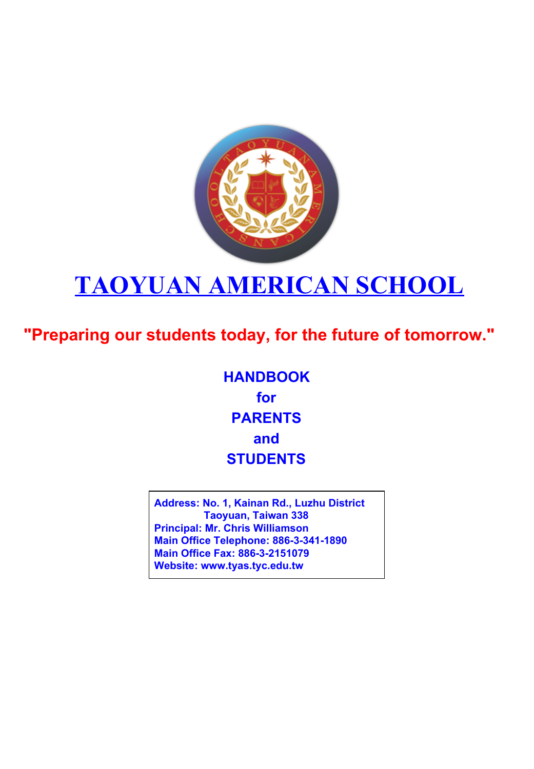

# **TAOYUAN AMERICAN SCHOOL**

**"Preparing our students today, for the future of tomorrow."**

**HANDBOOK for PARENTS and STUDENTS**

**Address: No. 1, Kainan Rd., Luzhu District Taoyuan, Taiwan 338 Principal: Mr. Chris Williamson Main Office Telephone: 886-3-341-1890 Main Office Fax: 886-3-2151079 Website: www.tyas.tyc.edu.tw**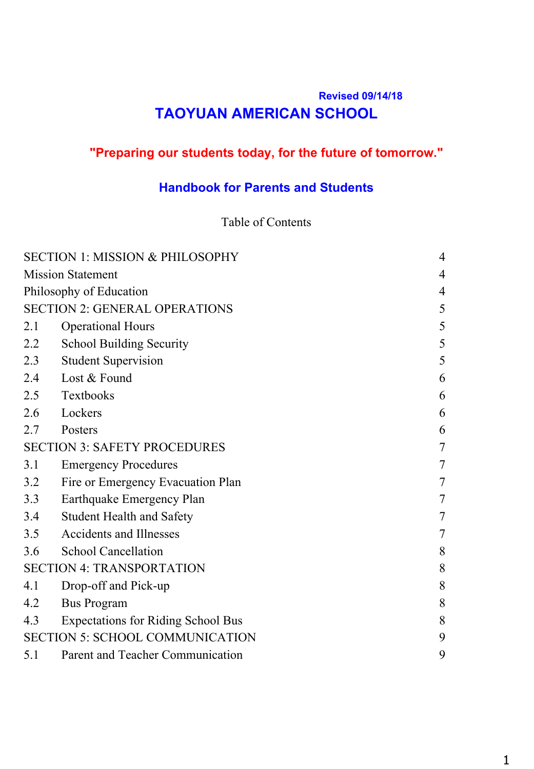# **Revised 09/14/18 TAOYUAN AMERICAN SCHOOL**

# **"Preparing our students today, for the future of tomorrow."**

# **Handbook for Parents and Students**

#### Table of Contents

|                                     | <b>SECTION 1: MISSION &amp; PHILOSOPHY</b> | 4              |
|-------------------------------------|--------------------------------------------|----------------|
| <b>Mission Statement</b>            |                                            | 4              |
| Philosophy of Education             |                                            | 4              |
|                                     | <b>SECTION 2: GENERAL OPERATIONS</b>       | 5              |
| 2.1                                 | <b>Operational Hours</b>                   | 5              |
| 2.2                                 | <b>School Building Security</b>            | 5              |
| 2.3                                 | <b>Student Supervision</b>                 | 5              |
| 2.4                                 | Lost & Found                               | 6              |
| 2.5                                 | Textbooks                                  | 6              |
| 2.6                                 | Lockers                                    | 6              |
| 2.7                                 | Posters                                    | 6              |
| <b>SECTION 3: SAFETY PROCEDURES</b> |                                            | $\overline{7}$ |
| 3.1                                 | <b>Emergency Procedures</b>                | 7              |
| 3.2                                 | Fire or Emergency Evacuation Plan          | 7              |
| 3.3                                 | Earthquake Emergency Plan                  | 7              |
| 3.4                                 | <b>Student Health and Safety</b>           | 7              |
| 3.5                                 | <b>Accidents and Illnesses</b>             | 7              |
| 3.6                                 | <b>School Cancellation</b>                 | 8              |
|                                     | <b>SECTION 4: TRANSPORTATION</b>           | 8              |
| 4.1                                 | Drop-off and Pick-up                       | 8              |
| 4.2                                 | <b>Bus Program</b>                         | 8              |
| 4.3                                 | <b>Expectations for Riding School Bus</b>  | 8              |
|                                     | <b>SECTION 5: SCHOOL COMMUNICATION</b>     | 9              |
| 5.1                                 | Parent and Teacher Communication           | 9              |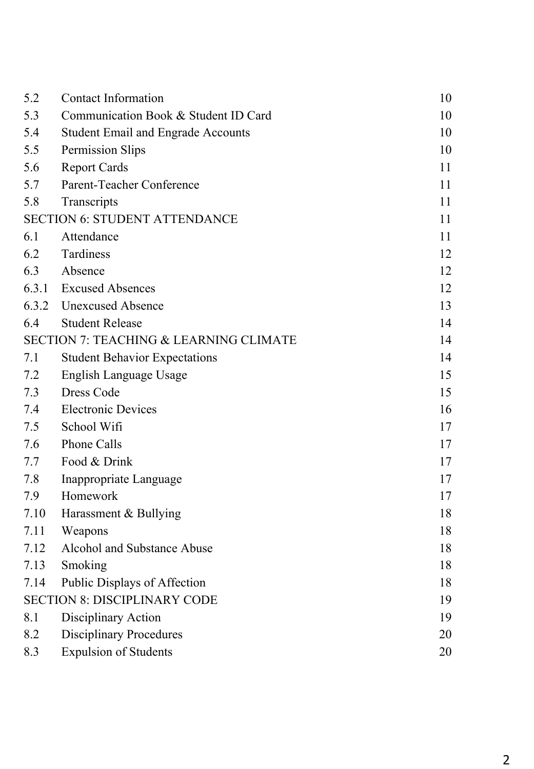| 5.2   | <b>Contact Information</b>                        | 10 |
|-------|---------------------------------------------------|----|
| 5.3   | Communication Book & Student ID Card              | 10 |
| 5.4   | <b>Student Email and Engrade Accounts</b>         | 10 |
| 5.5   | Permission Slips                                  | 10 |
| 5.6   | <b>Report Cards</b>                               | 11 |
| 5.7   | Parent-Teacher Conference                         | 11 |
| 5.8   | Transcripts                                       | 11 |
|       | <b>SECTION 6: STUDENT ATTENDANCE</b>              | 11 |
| 6.1   | Attendance                                        | 11 |
| 6.2   | Tardiness                                         | 12 |
| 6.3   | Absence                                           | 12 |
| 6.3.1 | <b>Excused Absences</b>                           | 12 |
| 6.3.2 | <b>Unexcused Absence</b>                          | 13 |
| 6.4   | <b>Student Release</b>                            | 14 |
|       | <b>SECTION 7: TEACHING &amp; LEARNING CLIMATE</b> | 14 |
| 7.1   | <b>Student Behavior Expectations</b>              | 14 |
| 7.2   | English Language Usage                            | 15 |
| 7.3   | <b>Dress Code</b>                                 | 15 |
| 7.4   | <b>Electronic Devices</b>                         | 16 |
| 7.5   | School Wifi                                       | 17 |
| 7.6   | <b>Phone Calls</b>                                | 17 |
| 7.7   | Food & Drink                                      | 17 |
| 7.8   | Inappropriate Language                            | 17 |
| 7.9   | Homework                                          | 17 |
| 7.10  | Harassment & Bullying                             | 18 |
| 7.11  | Weapons                                           | 18 |
| 7.12  | Alcohol and Substance Abuse                       | 18 |
| 7.13  | Smoking                                           | 18 |
| 7.14  | Public Displays of Affection                      | 18 |
|       | <b>SECTION 8: DISCIPLINARY CODE</b>               | 19 |
| 8.1   | Disciplinary Action                               | 19 |
| 8.2   | <b>Disciplinary Procedures</b>                    | 20 |
| 8.3   | <b>Expulsion of Students</b>                      | 20 |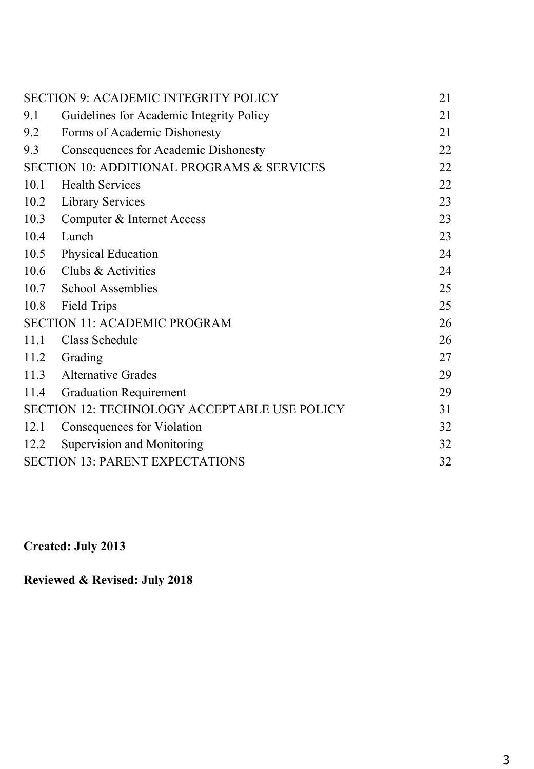|      | <b>SECTION 9: ACADEMIC INTEGRITY POLICY</b>         | 21 |
|------|-----------------------------------------------------|----|
| 9.1  | Guidelines for Academic Integrity Policy            | 21 |
| 9.2  | Forms of Academic Dishonesty                        | 21 |
| 9.3  | <b>Consequences for Academic Dishonesty</b>         | 22 |
|      | SECTION 10: ADDITIONAL PROGRAMS & SERVICES          | 22 |
| 10.1 | <b>Health Services</b>                              | 22 |
| 10.2 | <b>Library Services</b>                             | 23 |
| 10.3 | Computer & Internet Access                          | 23 |
| 10.4 | Lunch                                               | 23 |
| 10.5 | Physical Education                                  | 24 |
| 10.6 | Clubs & Activities                                  | 24 |
| 10.7 | <b>School Assemblies</b>                            | 25 |
| 10.8 | <b>Field Trips</b>                                  | 25 |
|      | <b>SECTION 11: ACADEMIC PROGRAM</b>                 | 26 |
| 11.1 | Class Schedule                                      | 26 |
| 11.2 | Grading                                             | 27 |
| 11.3 | <b>Alternative Grades</b>                           | 29 |
| 11.4 | <b>Graduation Requirement</b>                       | 29 |
|      | <b>SECTION 12: TECHNOLOGY ACCEPTABLE USE POLICY</b> | 31 |
| 12.1 | Consequences for Violation                          | 32 |
| 12.2 | Supervision and Monitoring                          | 32 |
|      | <b>SECTION 13: PARENT EXPECTATIONS</b>              | 32 |
|      |                                                     |    |

**Created: July 2013**

**Reviewed & Revised: July 2018**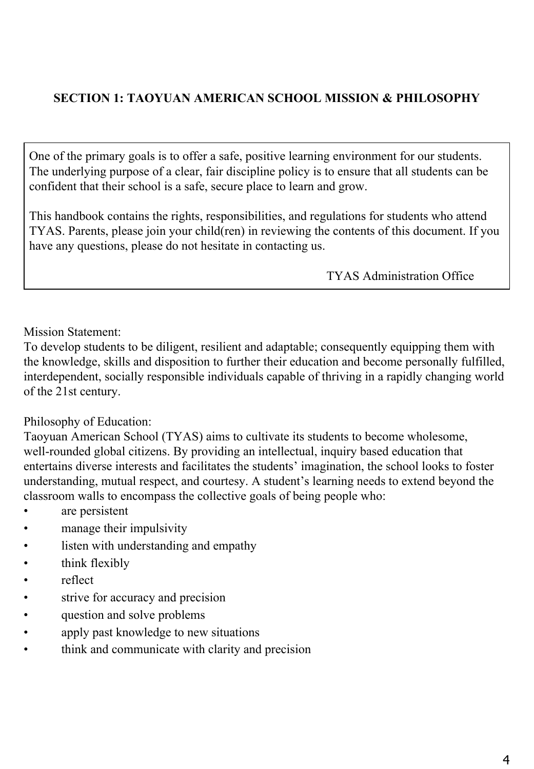# **SECTION 1: TAOYUAN AMERICAN SCHOOL MISSION & PHILOSOPHY**

One of the primary goals is to offer a safe, positive learning environment for our students. The underlying purpose of a clear, fair discipline policy is to ensure that all students can be confident that their school is a safe, secure place to learn and grow.

This handbook contains the rights, responsibilities, and regulations for students who attend TYAS. Parents, please join your child(ren) in reviewing the contents of this document. If you have any questions, please do not hesitate in contacting us.

TYAS Administration Office

Mission Statement:

To develop students to be diligent, resilient and adaptable; consequently equipping them with the knowledge, skills and disposition to further their education and become personally fulfilled, interdependent, socially responsible individuals capable of thriving in a rapidly changing world of the 21st century.

#### Philosophy of Education:

Taoyuan American School (TYAS) aims to cultivate its students to become wholesome, well-rounded global citizens. By providing an intellectual, inquiry based education that entertains diverse interests and facilitates the students' imagination, the school looks to foster understanding, mutual respect, and courtesy. A student's learning needs to extend beyond the classroom walls to encompass the collective goals of being people who:

- are persistent
- manage their impulsivity
- listen with understanding and empathy
- think flexibly
- reflect
- strive for accuracy and precision
- question and solve problems
- apply past knowledge to new situations
- think and communicate with clarity and precision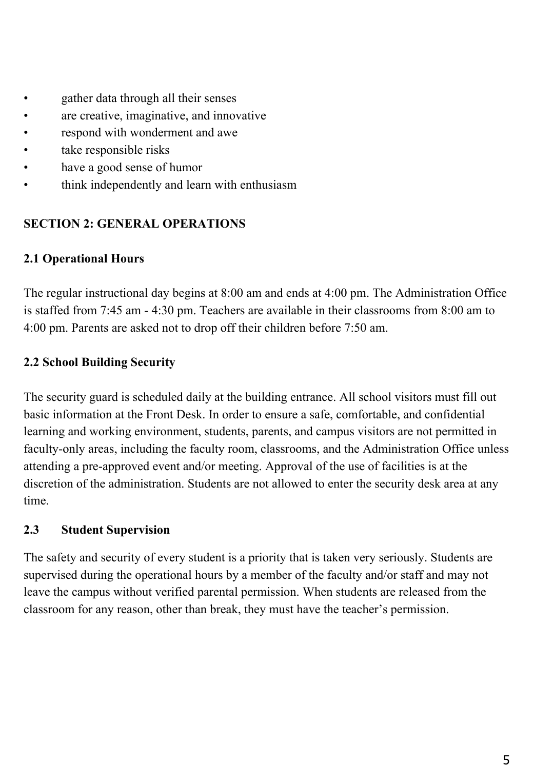- gather data through all their senses
- are creative, imaginative, and innovative
- respond with wonderment and awe
- take responsible risks
- have a good sense of humor
- think independently and learn with enthusiasm

#### **SECTION 2: GENERAL OPERATIONS**

#### **2.1 Operational Hours**

The regular instructional day begins at 8:00 am and ends at 4:00 pm. The Administration Office is staffed from 7:45 am - 4:30 pm. Teachers are available in their classrooms from 8:00 am to 4:00 pm. Parents are asked not to drop off their children before 7:50 am.

## **2.2 School Building Security**

The security guard is scheduled daily at the building entrance. All school visitors must fill out basic information at the Front Desk. In order to ensure a safe, comfortable, and confidential learning and working environment, students, parents, and campus visitors are not permitted in faculty-only areas, including the faculty room, classrooms, and the Administration Office unless attending a pre-approved event and/or meeting. Approval of the use of facilities is at the discretion of the administration. Students are not allowed to enter the security desk area at any time.

#### **2.3 Student Supervision**

The safety and security of every student is a priority that is taken very seriously. Students are supervised during the operational hours by a member of the faculty and/or staff and may not leave the campus without verified parental permission. When students are released from the classroom for any reason, other than break, they must have the teacher's permission.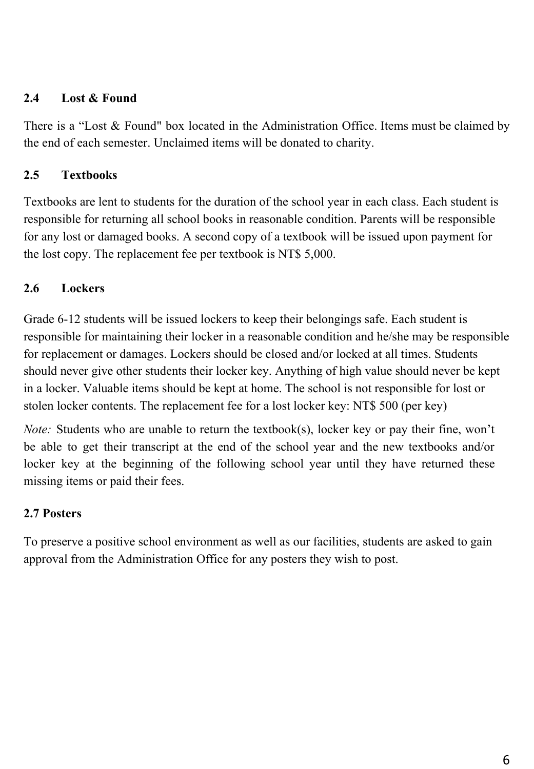## **2.4 Lost & Found**

There is a "Lost & Found" box located in the Administration Office. Items must be claimed by the end of each semester. Unclaimed items will be donated to charity.

## **2.5 Textbooks**

Textbooks are lent to students for the duration of the school year in each class. Each student is responsible for returning all school books in reasonable condition. Parents will be responsible for any lost or damaged books. A second copy of a textbook will be issued upon payment for the lost copy. The replacement fee per textbook is NT\$ 5,000.

# **2.6 Lockers**

Grade 6-12 students will be issued lockers to keep their belongings safe. Each student is responsible for maintaining their locker in a reasonable condition and he/she may be responsible for replacement or damages. Lockers should be closed and/or locked at all times. Students should never give other students their locker key. Anything of high value should never be kept in a locker. Valuable items should be kept at home. The school is not responsible for lost or stolen locker contents. The replacement fee for a lost locker key: NT\$ 500 (per key)

*Note:* Students who are unable to return the textbook(s), locker key or pay their fine, won't be able to get their transcript at the end of the school year and the new textbooks and/or locker key at the beginning of the following school year until they have returned these missing items or paid their fees.

# **2.7 Posters**

To preserve a positive school environment as well as our facilities, students are asked to gain approval from the Administration Office for any posters they wish to post.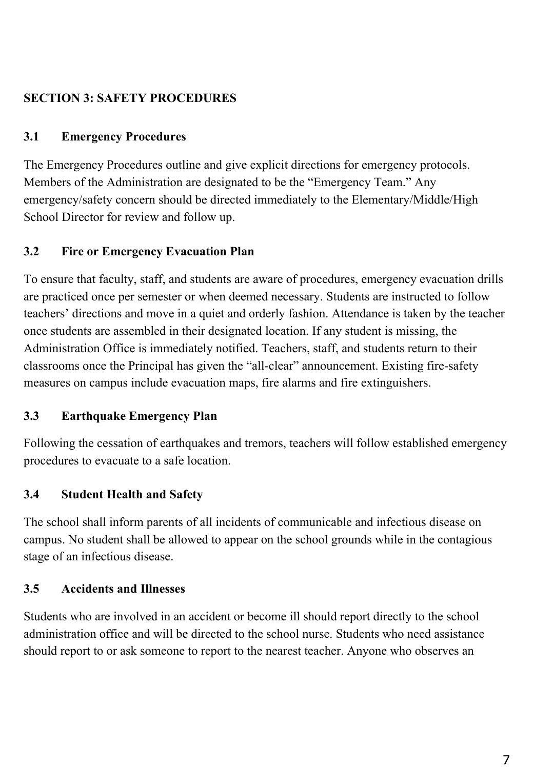# **SECTION 3: SAFETY PROCEDURES**

## **3.1 Emergency Procedures**

The Emergency Procedures outline and give explicit directions for emergency protocols. Members of the Administration are designated to be the "Emergency Team." Any emergency/safety concern should be directed immediately to the Elementary/Middle/High School Director for review and follow up.

# **3.2 Fire or Emergency Evacuation Plan**

To ensure that faculty, staff, and students are aware of procedures, emergency evacuation drills are practiced once per semester or when deemed necessary. Students are instructed to follow teachers' directions and move in a quiet and orderly fashion. Attendance is taken by the teacher once students are assembled in their designated location. If any student is missing, the Administration Office is immediately notified. Teachers, staff, and students return to their classrooms once the Principal has given the "all-clear" announcement. Existing fire-safety measures on campus include evacuation maps, fire alarms and fire extinguishers.

# **3.3 Earthquake Emergency Plan**

Following the cessation of earthquakes and tremors, teachers will follow established emergency procedures to evacuate to a safe location.

# **3.4 Student Health and Safety**

The school shall inform parents of all incidents of communicable and infectious disease on campus. No student shall be allowed to appear on the school grounds while in the contagious stage of an infectious disease.

# **3.5 Accidents and Illnesses**

Students who are involved in an accident or become ill should report directly to the school administration office and will be directed to the school nurse. Students who need assistance should report to or ask someone to report to the nearest teacher. Anyone who observes an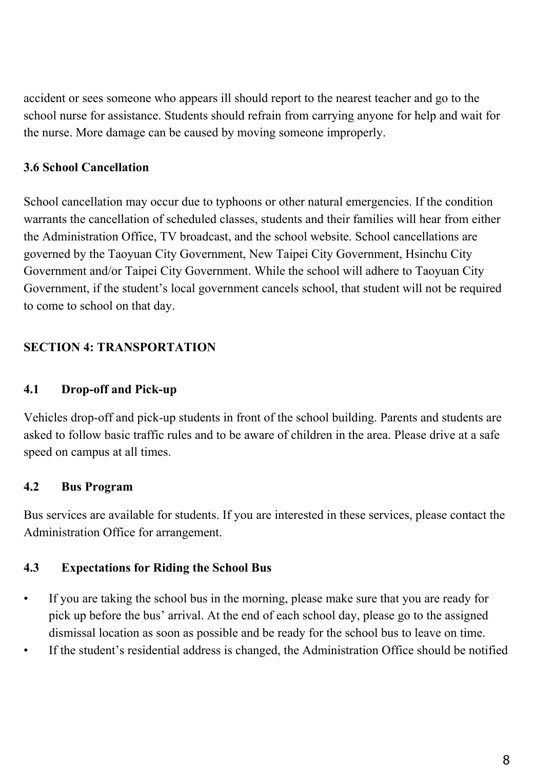accident or sees someone who appears ill should report to the nearest teacher and go to the school nurse for assistance. Students should refrain from carrying anyone for help and wait for the nurse. More damage can be caused by moving someone improperly.

# **3.6 School Cancellation**

School cancellation may occur due to typhoons or other natural emergencies. If the condition warrants the cancellation of scheduled classes, students and their families will hear from either the Administration Office, TV broadcast, and the school website. School cancellations are governed by the Taoyuan City Government, New Taipei City Government, Hsinchu City Government and/or Taipei City Government. While the school will adhere to Taoyuan City Government, if the student's local government cancels school, that student will not be required to come to school on that day.

# **SECTION 4: TRANSPORTATION**

# **4.1 Drop-off and Pick-up**

Vehicles drop-off and pick-up students in front of the school building. Parents and students are asked to follow basic traffic rules and to be aware of children in the area. Please drive at a safe speed on campus at all times.

# **4.2 Bus Program**

Bus services are available for students. If you are interested in these services, please contact the Administration Office for arrangement.

# **4.3 Expectations for Riding the School Bus**

- If you are taking the school bus in the morning, please make sure that you are ready for pick up before the bus' arrival. At the end of each school day, please go to the assigned dismissal location as soon as possible and be ready for the school bus to leave on time.
- If the student's residential address is changed, the Administration Office should be notified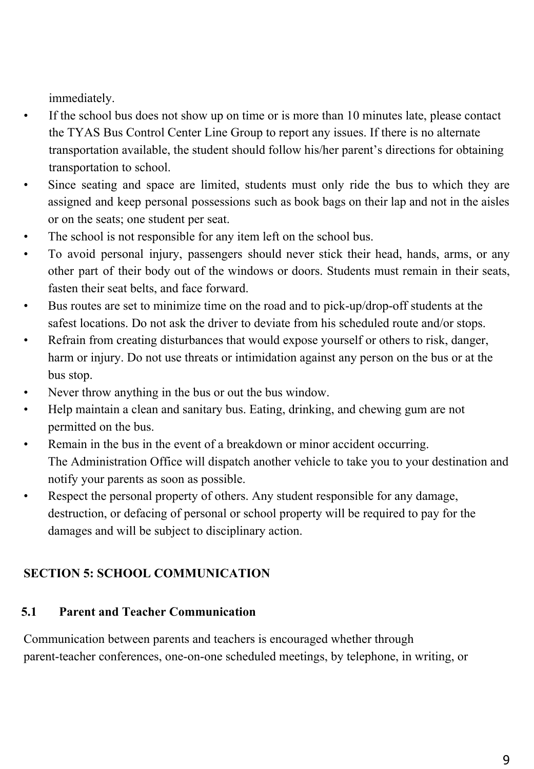immediately.

- If the school bus does not show up on time or is more than 10 minutes late, please contact the TYAS Bus Control Center Line Group to report any issues. If there is no alternate transportation available, the student should follow his/her parent's directions for obtaining transportation to school.
- Since seating and space are limited, students must only ride the bus to which they are assigned and keep personal possessions such as book bags on their lap and not in the aisles or on the seats; one student per seat.
- The school is not responsible for any item left on the school bus.
- To avoid personal injury, passengers should never stick their head, hands, arms, or any other part of their body out of the windows or doors. Students must remain in their seats, fasten their seat belts, and face forward.
- Bus routes are set to minimize time on the road and to pick-up/drop-off students at the safest locations. Do not ask the driver to deviate from his scheduled route and/or stops.
- Refrain from creating disturbances that would expose yourself or others to risk, danger, harm or injury. Do not use threats or intimidation against any person on the bus or at the bus stop.
- Never throw anything in the bus or out the bus window.
- Help maintain a clean and sanitary bus. Eating, drinking, and chewing gum are not permitted on the bus.
- Remain in the bus in the event of a breakdown or minor accident occurring. The Administration Office will dispatch another vehicle to take you to your destination and notify your parents as soon as possible.
- Respect the personal property of others. Any student responsible for any damage, destruction, or defacing of personal or school property will be required to pay for the damages and will be subject to disciplinary action.

# **SECTION 5: SCHOOL COMMUNICATION**

# **5.1 Parent and Teacher Communication**

Communication between parents and teachers is encouraged whether through parent-teacher conferences, one-on-one scheduled meetings, by telephone, in writing, or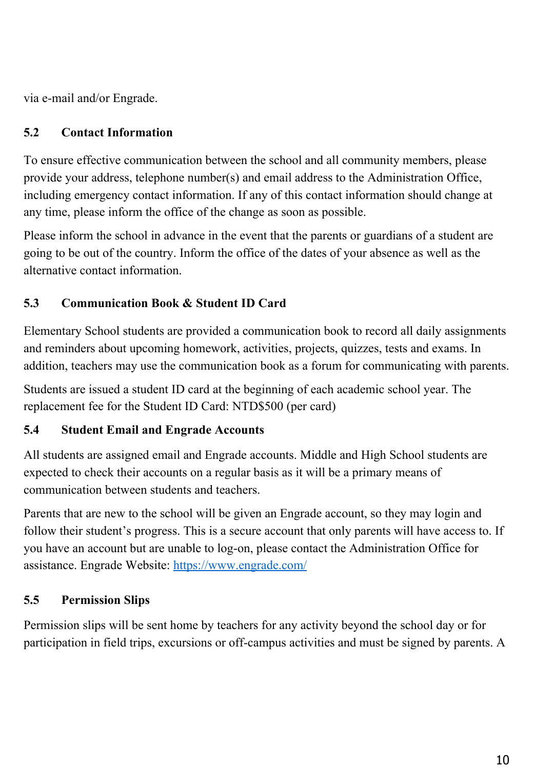via e-mail and/or Engrade.

# **5.2 Contact Information**

To ensure effective communication between the school and all community members, please provide your address, telephone number(s) and email address to the Administration Office, including emergency contact information. If any of this contact information should change at any time, please inform the office of the change as soon as possible.

Please inform the school in advance in the event that the parents or guardians of a student are going to be out of the country. Inform the office of the dates of your absence as well as the alternative contact information.

# **5.3 Communication Book & Student ID Card**

Elementary School students are provided a communication book to record all daily assignments and reminders about upcoming homework, activities, projects, quizzes, tests and exams. In addition, teachers may use the communication book as a forum for communicating with parents.

Students are issued a student ID card at the beginning of each academic school year. The replacement fee for the Student ID Card: NTD\$500 (per card)

# **5.4 Student Email and Engrade Accounts**

All students are assigned email and Engrade accounts. Middle and High School students are expected to check their accounts on a regular basis as it will be a primary means of communication between students and teachers.

Parents that are new to the school will be given an Engrade account, so they may login and follow their student's progress. This is a secure account that only parents will have access to. If you have an account but are unable to log-on, please contact the Administration Office for assistance. Engrade Website:<https://www.engrade.com/>

# **5.5 Permission Slips**

Permission slips will be sent home by teachers for any activity beyond the school day or for participation in field trips, excursions or off-campus activities and must be signed by parents. A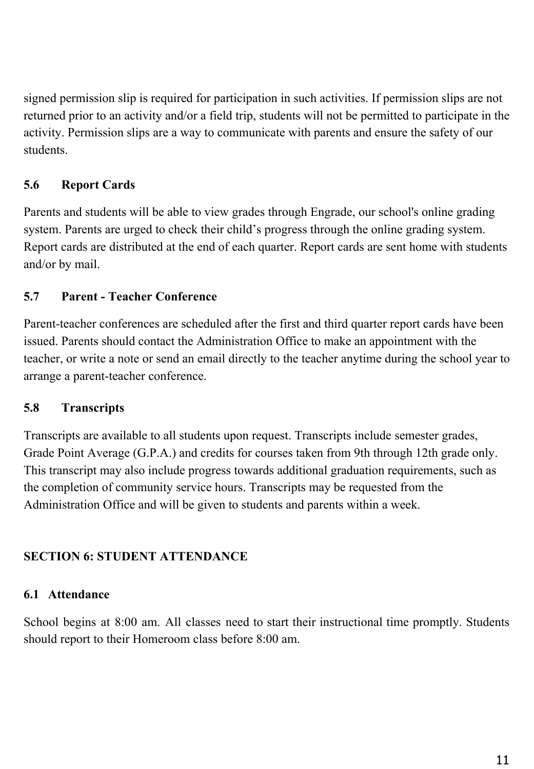signed permission slip is required for participation in such activities. If permission slips are not returned prior to an activity and/or a field trip, students will not be permitted to participate in the activity. Permission slips are a way to communicate with parents and ensure the safety of our students.

# **5.6 Report Cards**

Parents and students will be able to view grades through Engrade, our school's online grading system. Parents are urged to check their child's progress through the online grading system. Report cards are distributed at the end of each quarter. Report cards are sent home with students and/or by mail.

# **5.7 Parent - Teacher Conference**

Parent-teacher conferences are scheduled after the first and third quarter report cards have been issued. Parents should contact the Administration Office to make an appointment with the teacher, or write a note or send an email directly to the teacher anytime during the school year to arrange a parent-teacher conference.

# **5.8 Transcripts**

Transcripts are available to all students upon request. Transcripts include semester grades, Grade Point Average (G.P.A.) and credits for courses taken from 9th through 12th grade only. This transcript may also include progress towards additional graduation requirements, such as the completion of community service hours. Transcripts may be requested from the Administration Office and will be given to students and parents within a week.

# **SECTION 6: STUDENT ATTENDANCE**

# **6.1 Attendance**

School begins at 8:00 am. All classes need to start their instructional time promptly. Students should report to their Homeroom class before 8:00 am.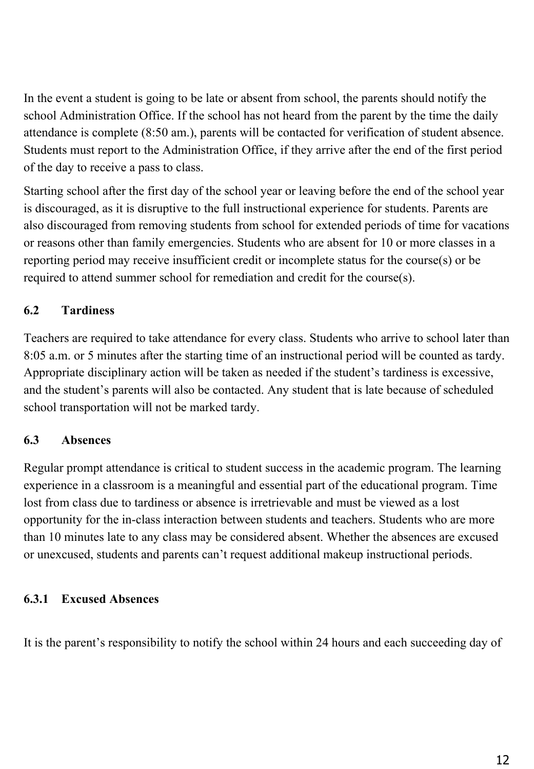In the event a student is going to be late or absent from school, the parents should notify the school Administration Office. If the school has not heard from the parent by the time the daily attendance is complete (8:50 am.), parents will be contacted for verification of student absence. Students must report to the Administration Office, if they arrive after the end of the first period of the day to receive a pass to class.

Starting school after the first day of the school year or leaving before the end of the school year is discouraged, as it is disruptive to the full instructional experience for students. Parents are also discouraged from removing students from school for extended periods of time for vacations or reasons other than family emergencies. Students who are absent for 10 or more classes in a reporting period may receive insufficient credit or incomplete status for the course(s) or be required to attend summer school for remediation and credit for the course(s).

# **6.2 Tardiness**

Teachers are required to take attendance for every class. Students who arrive to school later than 8:05 a.m. or 5 minutes after the starting time of an instructional period will be counted as tardy. Appropriate disciplinary action will be taken as needed if the student's tardiness is excessive, and the student's parents will also be contacted. Any student that is late because of scheduled school transportation will not be marked tardy.

# **6.3 Absences**

Regular prompt attendance is critical to student success in the academic program. The learning experience in a classroom is a meaningful and essential part of the educational program. Time lost from class due to tardiness or absence is irretrievable and must be viewed as a lost opportunity for the in-class interaction between students and teachers. Students who are more than 10 minutes late to any class may be considered absent. Whether the absences are excused or unexcused, students and parents can't request additional makeup instructional periods.

# **6.3.1 Excused Absences**

It is the parent's responsibility to notify the school within 24 hours and each succeeding day of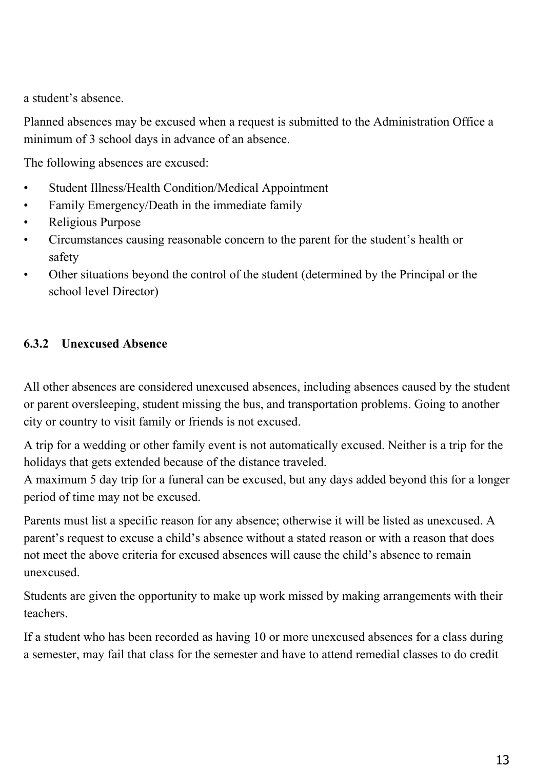a student's absence.

Planned absences may be excused when a request is submitted to the Administration Office a minimum of 3 school days in advance of an absence.

The following absences are excused:

- Student Illness/Health Condition/Medical Appointment
- Family Emergency/Death in the immediate family
- Religious Purpose
- Circumstances causing reasonable concern to the parent for the student's health or safety
- Other situations beyond the control of the student (determined by the Principal or the school level Director)

# **6.3.2 Unexcused Absence**

All other absences are considered unexcused absences, including absences caused by the student or parent oversleeping, student missing the bus, and transportation problems. Going to another city or country to visit family or friends is not excused.

A trip for a wedding or other family event is not automatically excused. Neither is a trip for the holidays that gets extended because of the distance traveled.

A maximum 5 day trip for a funeral can be excused, but any days added beyond this for a longer period of time may not be excused.

Parents must list a specific reason for any absence; otherwise it will be listed as unexcused. A parent's request to excuse a child's absence without a stated reason or with a reason that does not meet the above criteria for excused absences will cause the child's absence to remain unexcused.

Students are given the opportunity to make up work missed by making arrangements with their teachers.

If a student who has been recorded as having 10 or more unexcused absences for a class during a semester, may fail that class for the semester and have to attend remedial classes to do credit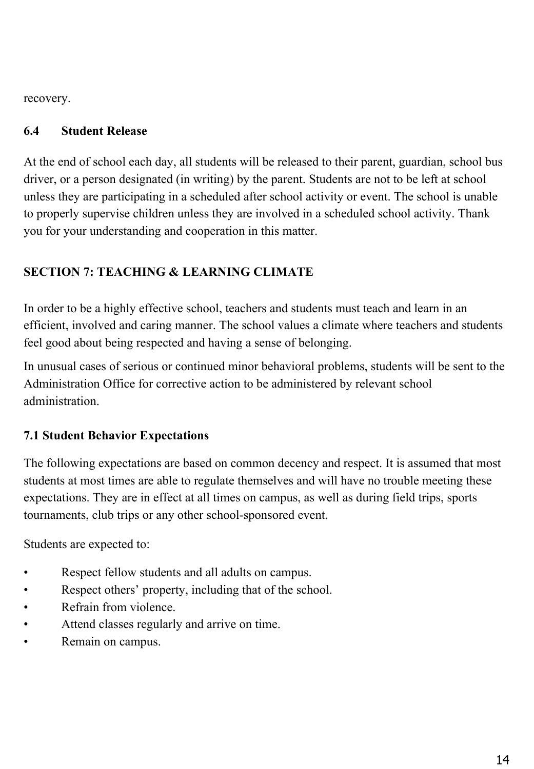recovery.

#### **6.4 Student Release**

At the end of school each day, all students will be released to their parent, guardian, school bus driver, or a person designated (in writing) by the parent. Students are not to be left at school unless they are participating in a scheduled after school activity or event. The school is unable to properly supervise children unless they are involved in a scheduled school activity. Thank you for your understanding and cooperation in this matter.

# **SECTION 7: TEACHING & LEARNING CLIMATE**

In order to be a highly effective school, teachers and students must teach and learn in an efficient, involved and caring manner. The school values a climate where teachers and students feel good about being respected and having a sense of belonging.

In unusual cases of serious or continued minor behavioral problems, students will be sent to the Administration Office for corrective action to be administered by relevant school administration.

# **7.1 Student Behavior Expectations**

The following expectations are based on common decency and respect. It is assumed that most students at most times are able to regulate themselves and will have no trouble meeting these expectations. They are in effect at all times on campus, as well as during field trips, sports tournaments, club trips or any other school-sponsored event.

Students are expected to:

- Respect fellow students and all adults on campus.
- Respect others' property, including that of the school.
- Refrain from violence.
- Attend classes regularly and arrive on time.
- Remain on campus.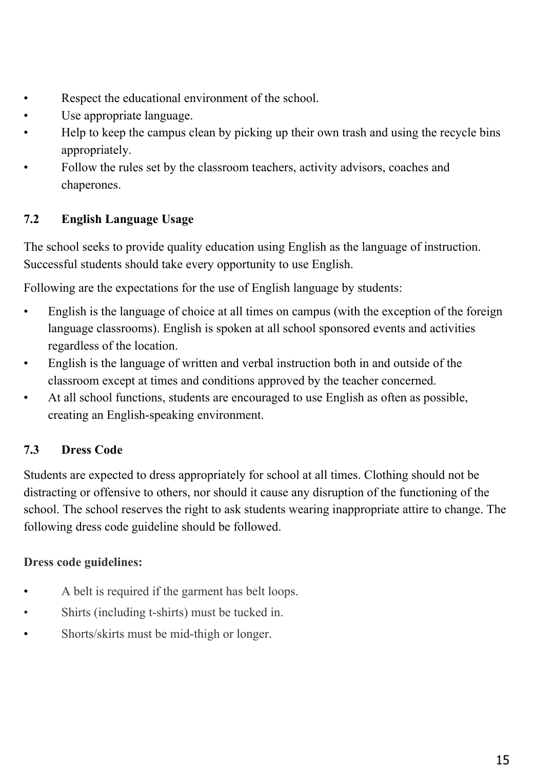- Respect the educational environment of the school.
- Use appropriate language.
- Help to keep the campus clean by picking up their own trash and using the recycle bins appropriately.
- Follow the rules set by the classroom teachers, activity advisors, coaches and chaperones.

# **7.2 English Language Usage**

The school seeks to provide quality education using English as the language of instruction. Successful students should take every opportunity to use English.

Following are the expectations for the use of English language by students:

- English is the language of choice at all times on campus (with the exception of the foreign language classrooms). English is spoken at all school sponsored events and activities regardless of the location.
- English is the language of written and verbal instruction both in and outside of the classroom except at times and conditions approved by the teacher concerned.
- At all school functions, students are encouraged to use English as often as possible, creating an English-speaking environment.

# **7.3 Dress Code**

Students are expected to dress appropriately for school at all times. Clothing should not be distracting or offensive to others, nor should it cause any disruption of the functioning of the school. The school reserves the right to ask students wearing inappropriate attire to change. The following dress code guideline should be followed.

# **Dress code guidelines:**

- A belt is required if the garment has belt loops.
- Shirts (including t-shirts) must be tucked in.
- Shorts/skirts must be mid-thigh or longer.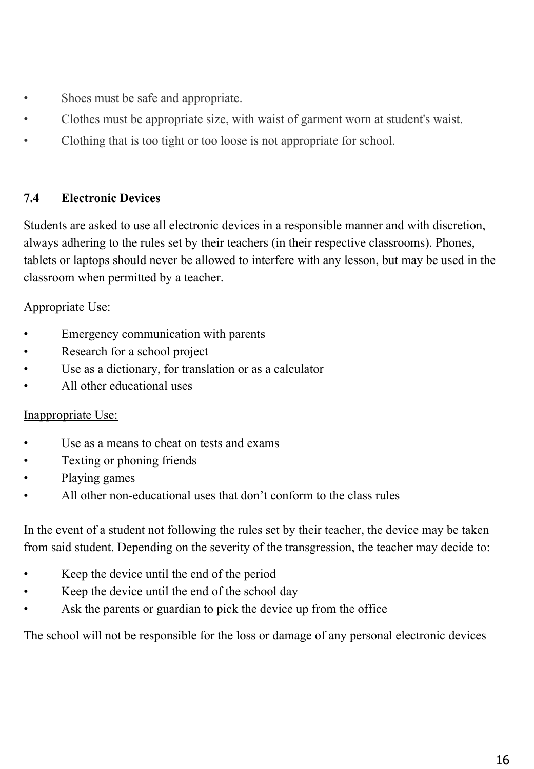- Shoes must be safe and appropriate.
- Clothes must be appropriate size, with waist of garment worn at student's waist.
- Clothing that is too tight or too loose is not appropriate for school.

## **7.4 Electronic Devices**

Students are asked to use all electronic devices in a responsible manner and with discretion, always adhering to the rules set by their teachers (in their respective classrooms). Phones, tablets or laptops should never be allowed to interfere with any lesson, but may be used in the classroom when permitted by a teacher.

## Appropriate Use:

- Emergency communication with parents
- Research for a school project
- Use as a dictionary, for translation or as a calculator
- All other educational uses

# Inappropriate Use:

- Use as a means to cheat on tests and exams
- Texting or phoning friends
- Playing games
- All other non-educational uses that don't conform to the class rules

In the event of a student not following the rules set by their teacher, the device may be taken from said student. Depending on the severity of the transgression, the teacher may decide to:

- Keep the device until the end of the period
- Keep the device until the end of the school day
- Ask the parents or guardian to pick the device up from the office

The school will not be responsible for the loss or damage of any personal electronic devices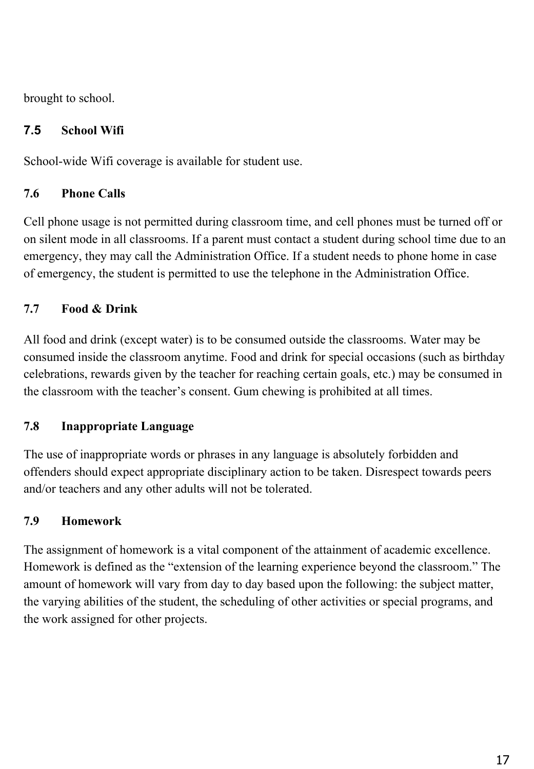brought to school.

# **7.5 School Wifi**

School-wide Wifi coverage is available for student use.

# **7.6 Phone Calls**

Cell phone usage is not permitted during classroom time, and cell phones must be turned off or on silent mode in all classrooms. If a parent must contact a student during school time due to an emergency, they may call the Administration Office. If a student needs to phone home in case of emergency, the student is permitted to use the telephone in the Administration Office.

# **7.7 Food & Drink**

All food and drink (except water) is to be consumed outside the classrooms. Water may be consumed inside the classroom anytime. Food and drink for special occasions (such as birthday celebrations, rewards given by the teacher for reaching certain goals, etc.) may be consumed in the classroom with the teacher's consent. Gum chewing is prohibited at all times.

# **7.8 Inappropriate Language**

The use of inappropriate words or phrases in any language is absolutely forbidden and offenders should expect appropriate disciplinary action to be taken. Disrespect towards peers and/or teachers and any other adults will not be tolerated.

# **7.9 Homework**

The assignment of homework is a vital component of the attainment of academic excellence. Homework is defined as the "extension of the learning experience beyond the classroom." The amount of homework will vary from day to day based upon the following: the subject matter, the varying abilities of the student, the scheduling of other activities or special programs, and the work assigned for other projects.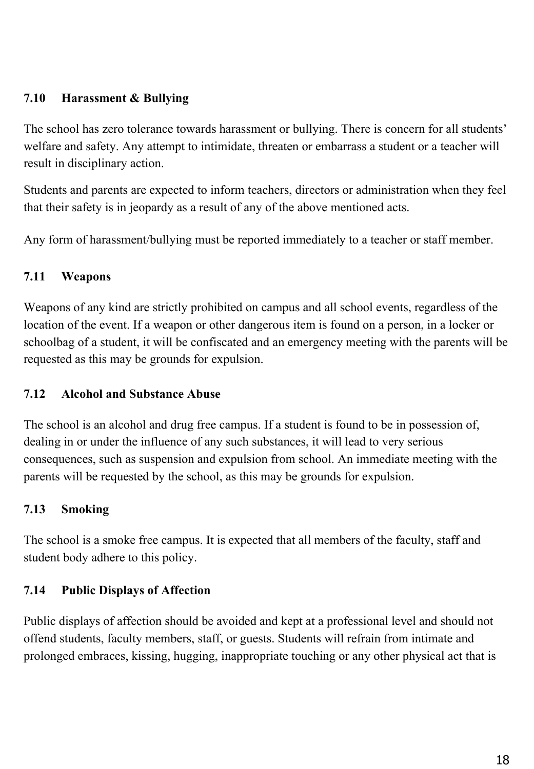## **7.10 Harassment & Bullying**

The school has zero tolerance towards harassment or bullying. There is concern for all students' welfare and safety. Any attempt to intimidate, threaten or embarrass a student or a teacher will result in disciplinary action.

Students and parents are expected to inform teachers, directors or administration when they feel that their safety is in jeopardy as a result of any of the above mentioned acts.

Any form of harassment/bullying must be reported immediately to a teacher or staff member.

#### **7.11 Weapons**

Weapons of any kind are strictly prohibited on campus and all school events, regardless of the location of the event. If a weapon or other dangerous item is found on a person, in a locker or schoolbag of a student, it will be confiscated and an emergency meeting with the parents will be requested as this may be grounds for expulsion.

#### **7.12 Alcohol and Substance Abuse**

The school is an alcohol and drug free campus. If a student is found to be in possession of, dealing in or under the influence of any such substances, it will lead to very serious consequences, such as suspension and expulsion from school. An immediate meeting with the parents will be requested by the school, as this may be grounds for expulsion.

# **7.13 Smoking**

The school is a smoke free campus. It is expected that all members of the faculty, staff and student body adhere to this policy.

# **7.14 Public Displays of Affection**

Public displays of affection should be avoided and kept at a professional level and should not offend students, faculty members, staff, or guests. Students will refrain from intimate and prolonged embraces, kissing, hugging, inappropriate touching or any other physical act that is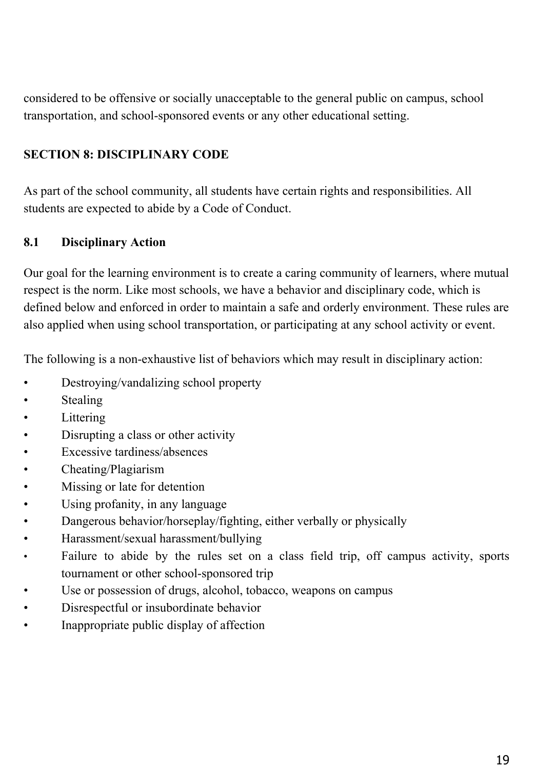considered to be offensive or socially unacceptable to the general public on campus, school transportation, and school-sponsored events or any other educational setting.

# **SECTION 8: DISCIPLINARY CODE**

As part of the school community, all students have certain rights and responsibilities. All students are expected to abide by a Code of Conduct.

#### **8.1 Disciplinary Action**

Our goal for the learning environment is to create a caring community of learners, where mutual respect is the norm. Like most schools, we have a behavior and disciplinary code, which is defined below and enforced in order to maintain a safe and orderly environment. These rules are also applied when using school transportation, or participating at any school activity or event.

The following is a non-exhaustive list of behaviors which may result in disciplinary action:

- Destroying/vandalizing school property
- **Stealing**
- **Littering**
- Disrupting a class or other activity
- Excessive tardiness/absences
- Cheating/Plagiarism
- Missing or late for detention
- Using profanity, in any language
- Dangerous behavior/horseplay/fighting, either verbally or physically
- Harassment/sexual harassment/bullying
- Failure to abide by the rules set on a class field trip, off campus activity, sports tournament or other school-sponsored trip
- Use or possession of drugs, alcohol, tobacco, weapons on campus
- Disrespectful or insubordinate behavior
- Inappropriate public display of affection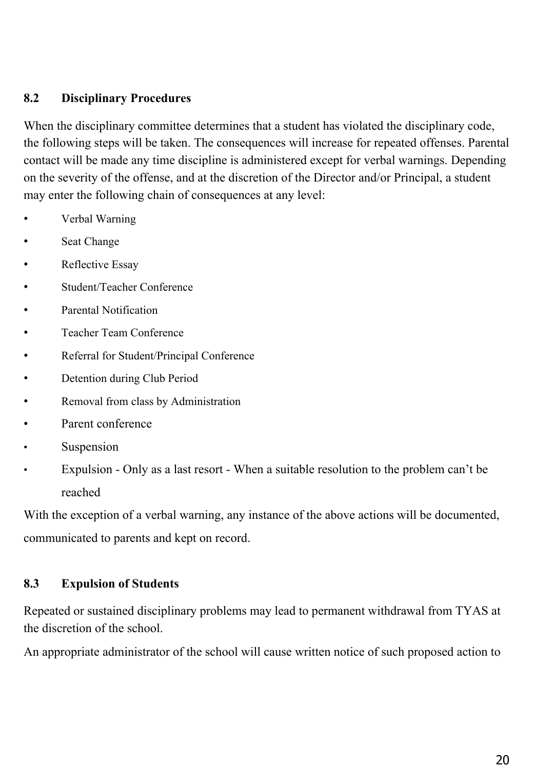#### **8.2 Disciplinary Procedures**

When the disciplinary committee determines that a student has violated the disciplinary code, the following steps will be taken. The consequences will increase for repeated offenses. Parental contact will be made any time discipline is administered except for verbal warnings. Depending on the severity of the offense, and at the discretion of the Director and/or Principal, a student may enter the following chain of consequences at any level:

- Verbal Warning
- Seat Change
- Reflective Essay
- Student/Teacher Conference
- Parental Notification
- Teacher Team Conference
- Referral for Student/Principal Conference
- Detention during Club Period
- Removal from class by Administration
- Parent conference
- **Suspension**
- Expulsion Only as a last resort When a suitable resolution to the problem can't be reached

With the exception of a verbal warning, any instance of the above actions will be documented, communicated to parents and kept on record.

#### **8.3 Expulsion of Students**

Repeated or sustained disciplinary problems may lead to permanent withdrawal from TYAS at the discretion of the school.

An appropriate administrator of the school will cause written notice of such proposed action to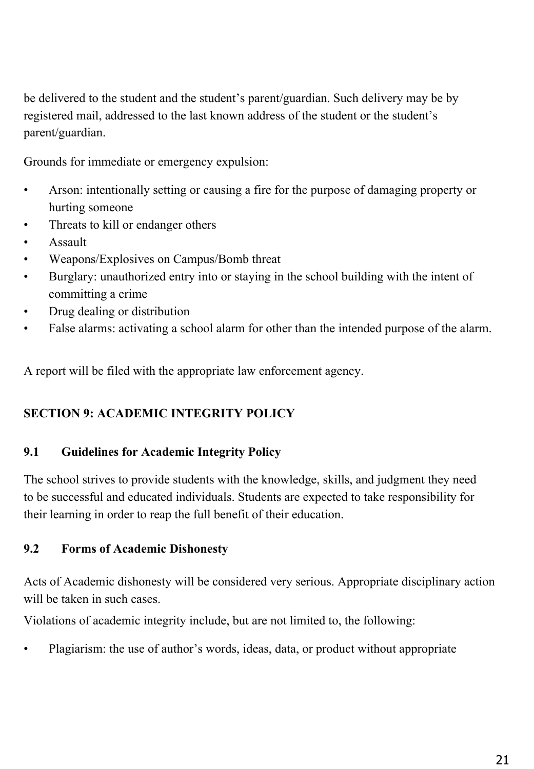be delivered to the student and the student's parent/guardian. Such delivery may be by registered mail, addressed to the last known address of the student or the student's parent/guardian.

Grounds for immediate or emergency expulsion:

- Arson: intentionally setting or causing a fire for the purpose of damaging property or hurting someone
- Threats to kill or endanger others
- Assault
- Weapons/Explosives on Campus/Bomb threat
- Burglary: unauthorized entry into or staying in the school building with the intent of committing a crime
- Drug dealing or distribution
- False alarms: activating a school alarm for other than the intended purpose of the alarm.

A report will be filed with the appropriate law enforcement agency.

# **SECTION 9: ACADEMIC INTEGRITY POLICY**

# **9.1 Guidelines for Academic Integrity Policy**

The school strives to provide students with the knowledge, skills, and judgment they need to be successful and educated individuals. Students are expected to take responsibility for their learning in order to reap the full benefit of their education.

# **9.2 Forms of Academic Dishonesty**

Acts of Academic dishonesty will be considered very serious. Appropriate disciplinary action will be taken in such cases.

Violations of academic integrity include, but are not limited to, the following:

• Plagiarism: the use of author's words, ideas, data, or product without appropriate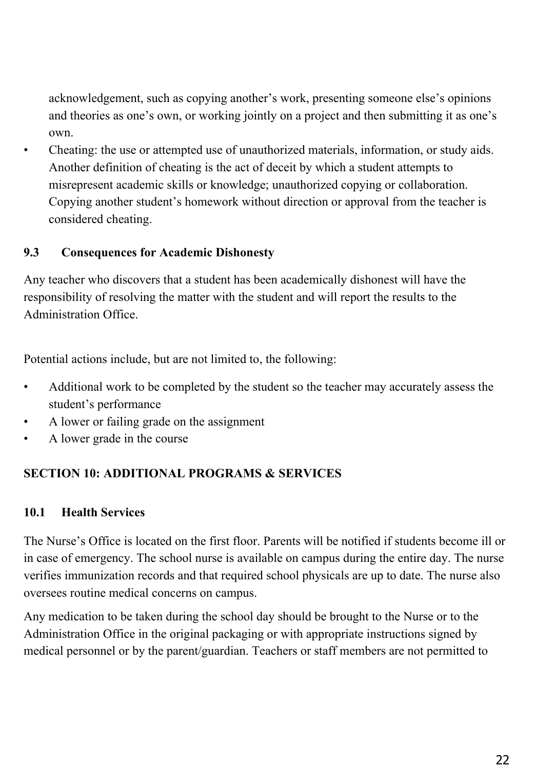acknowledgement, such as copying another's work, presenting someone else's opinions and theories as one's own, or working jointly on a project and then submitting it as one's own.

• Cheating: the use or attempted use of unauthorized materials, information, or study aids. Another definition of cheating is the act of deceit by which a student attempts to misrepresent academic skills or knowledge; unauthorized copying or collaboration. Copying another student's homework without direction or approval from the teacher is considered cheating.

# **9.3 Consequences for Academic Dishonesty**

Any teacher who discovers that a student has been academically dishonest will have the responsibility of resolving the matter with the student and will report the results to the Administration Office.

Potential actions include, but are not limited to, the following:

- Additional work to be completed by the student so the teacher may accurately assess the student's performance
- A lower or failing grade on the assignment
- A lower grade in the course

# **SECTION 10: ADDITIONAL PROGRAMS & SERVICES**

#### **10.1 Health Services**

The Nurse's Office is located on the first floor. Parents will be notified if students become ill or in case of emergency. The school nurse is available on campus during the entire day. The nurse verifies immunization records and that required school physicals are up to date. The nurse also oversees routine medical concerns on campus.

Any medication to be taken during the school day should be brought to the Nurse or to the Administration Office in the original packaging or with appropriate instructions signed by medical personnel or by the parent/guardian. Teachers or staff members are not permitted to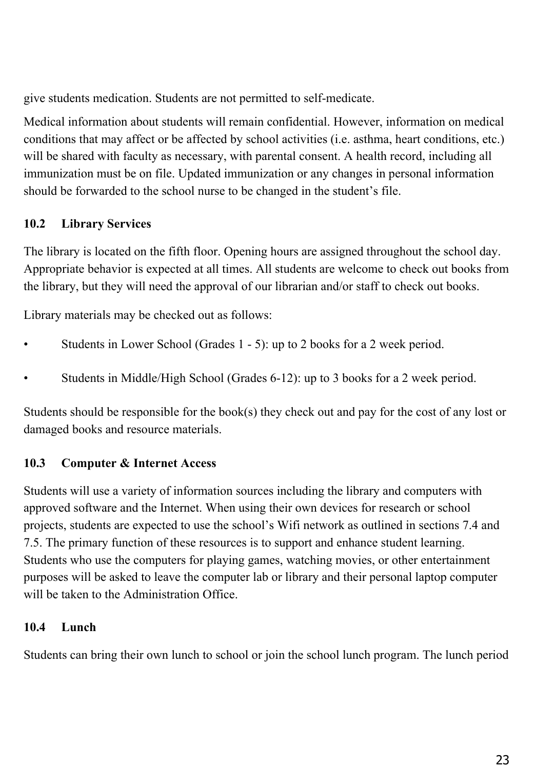give students medication. Students are not permitted to self-medicate.

Medical information about students will remain confidential. However, information on medical conditions that may affect or be affected by school activities (i.e. asthma, heart conditions, etc.) will be shared with faculty as necessary, with parental consent. A health record, including all immunization must be on file. Updated immunization or any changes in personal information should be forwarded to the school nurse to be changed in the student's file.

# **10.2 Library Services**

The library is located on the fifth floor. Opening hours are assigned throughout the school day. Appropriate behavior is expected at all times. All students are welcome to check out books from the library, but they will need the approval of our librarian and/or staff to check out books.

Library materials may be checked out as follows:

- Students in Lower School (Grades 1 5): up to 2 books for a 2 week period.
- Students in Middle/High School (Grades 6-12): up to 3 books for a 2 week period.

Students should be responsible for the book(s) they check out and pay for the cost of any lost or damaged books and resource materials.

# **10.3 Computer & Internet Access**

Students will use a variety of information sources including the library and computers with approved software and the Internet. When using their own devices for research or school projects, students are expected to use the school's Wifi network as outlined in sections 7.4 and 7.5. The primary function of these resources is to support and enhance student learning. Students who use the computers for playing games, watching movies, or other entertainment purposes will be asked to leave the computer lab or library and their personal laptop computer will be taken to the Administration Office.

# **10.4 Lunch**

Students can bring their own lunch to school or join the school lunch program. The lunch period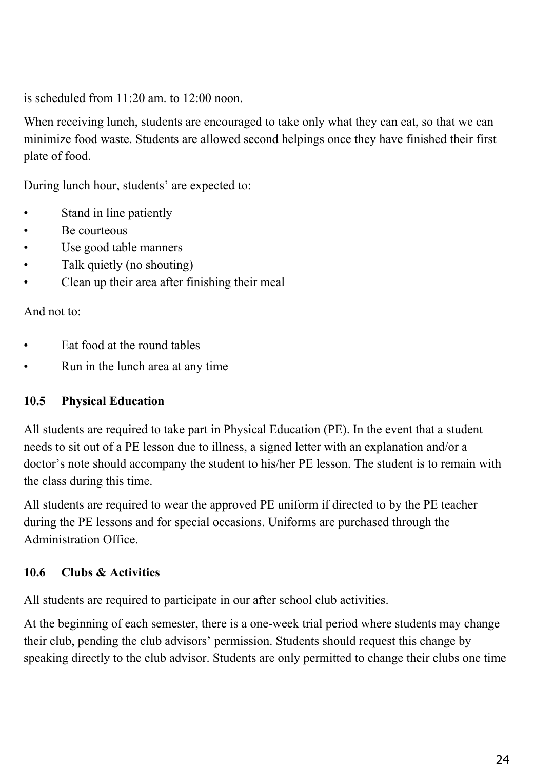is scheduled from 11:20 am. to 12:00 noon.

When receiving lunch, students are encouraged to take only what they can eat, so that we can minimize food waste. Students are allowed second helpings once they have finished their first plate of food.

During lunch hour, students' are expected to:

- Stand in line patiently
- Be courteous
- Use good table manners
- Talk quietly (no shouting)
- Clean up their area after finishing their meal

And not to:

- Eat food at the round tables
- Run in the lunch area at any time

# **10.5 Physical Education**

All students are required to take part in Physical Education (PE). In the event that a student needs to sit out of a PE lesson due to illness, a signed letter with an explanation and/or a doctor's note should accompany the student to his/her PE lesson. The student is to remain with the class during this time.

All students are required to wear the approved PE uniform if directed to by the PE teacher during the PE lessons and for special occasions. Uniforms are purchased through the Administration Office.

# **10.6 Clubs & Activities**

All students are required to participate in our after school club activities.

At the beginning of each semester, there is a one-week trial period where students may change their club, pending the club advisors' permission. Students should request this change by speaking directly to the club advisor. Students are only permitted to change their clubs one time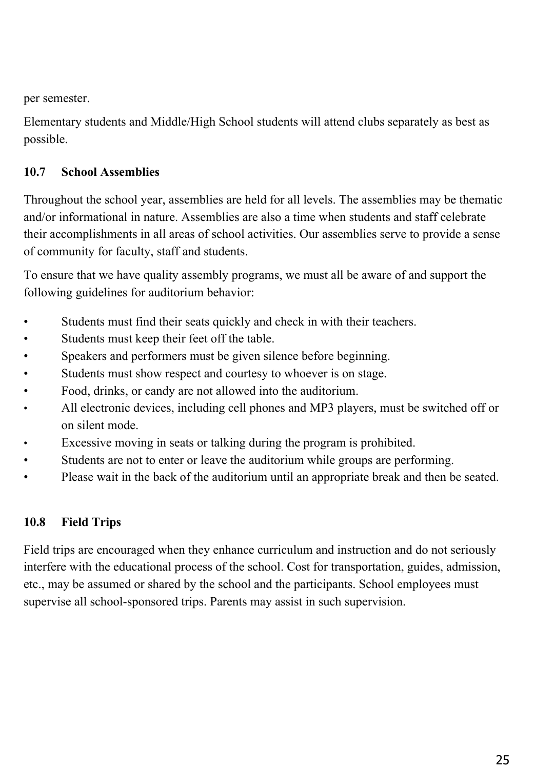per semester.

Elementary students and Middle/High School students will attend clubs separately as best as possible.

# **10.7 School Assemblies**

Throughout the school year, assemblies are held for all levels. The assemblies may be thematic and/or informational in nature. Assemblies are also a time when students and staff celebrate their accomplishments in all areas of school activities. Our assemblies serve to provide a sense of community for faculty, staff and students.

To ensure that we have quality assembly programs, we must all be aware of and support the following guidelines for auditorium behavior:

- Students must find their seats quickly and check in with their teachers.
- Students must keep their feet off the table.
- Speakers and performers must be given silence before beginning.
- Students must show respect and courtesy to whoever is on stage.
- Food, drinks, or candy are not allowed into the auditorium.
- All electronic devices, including cell phones and MP3 players, must be switched off or on silent mode.
- Excessive moving in seats or talking during the program is prohibited.
- Students are not to enter or leave the auditorium while groups are performing.
- Please wait in the back of the auditorium until an appropriate break and then be seated.

# **10.8 Field Trips**

Field trips are encouraged when they enhance curriculum and instruction and do not seriously interfere with the educational process of the school. Cost for transportation, guides, admission, etc., may be assumed or shared by the school and the participants. School employees must supervise all school-sponsored trips. Parents may assist in such supervision.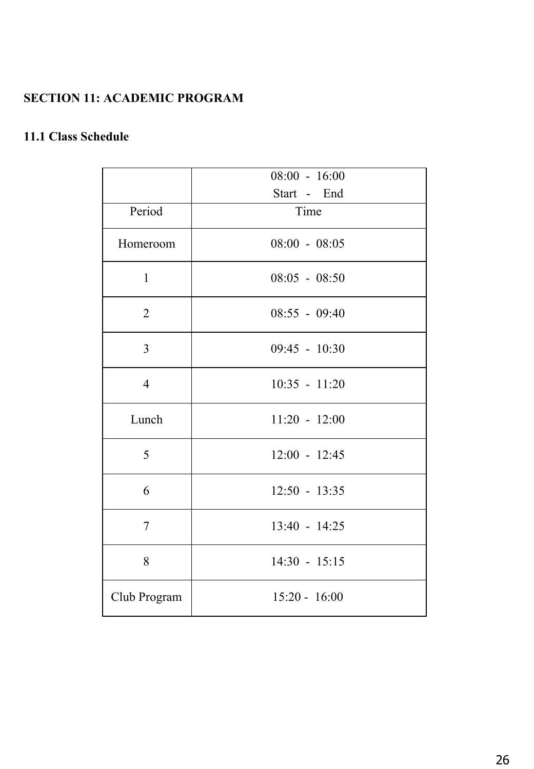# **SECTION 11: ACADEMIC PROGRAM**

# **11.1 Class Schedule**

|                | $08:00 - 16:00$ |
|----------------|-----------------|
|                | Start - End     |
| Period         | Time            |
| Homeroom       | $08:00 - 08:05$ |
| $\mathbf{1}$   | $08:05 - 08:50$ |
| $\overline{2}$ | 08:55 - 09:40   |
| 3              | 09:45 - 10:30   |
| $\overline{4}$ | $10:35 - 11:20$ |
| Lunch          | $11:20 - 12:00$ |
| 5              | $12:00 - 12:45$ |
| 6              | $12:50 - 13:35$ |
| 7              | 13:40 - 14:25   |
| 8              | $14:30 - 15:15$ |
| Club Program   | $15:20 - 16:00$ |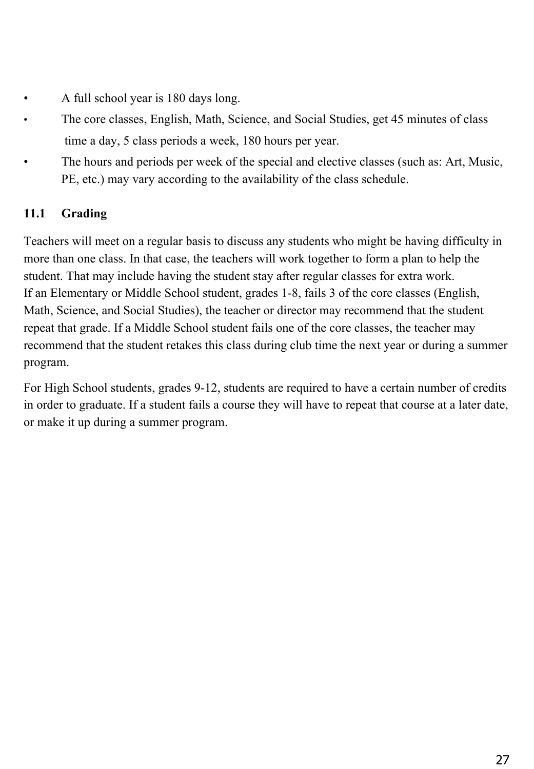- A full school year is 180 days long.
- The core classes, English, Math, Science, and Social Studies, get 45 minutes of class time a day, 5 class periods a week, 180 hours per year.
- The hours and periods per week of the special and elective classes (such as: Art, Music, PE, etc.) may vary according to the availability of the class schedule.

# **11.1 Grading**

Teachers will meet on a regular basis to discuss any students who might be having difficulty in more than one class. In that case, the teachers will work together to form a plan to help the student. That may include having the student stay after regular classes for extra work. If an Elementary or Middle School student, grades 1-8, fails 3 of the core classes (English, Math, Science, and Social Studies), the teacher or director may recommend that the student repeat that grade. If a Middle School student fails one of the core classes, the teacher may recommend that the student retakes this class during club time the next year or during a summer program.

For High School students, grades 9-12, students are required to have a certain number of credits in order to graduate. If a student fails a course they will have to repeat that course at a later date, or make it up during a summer program.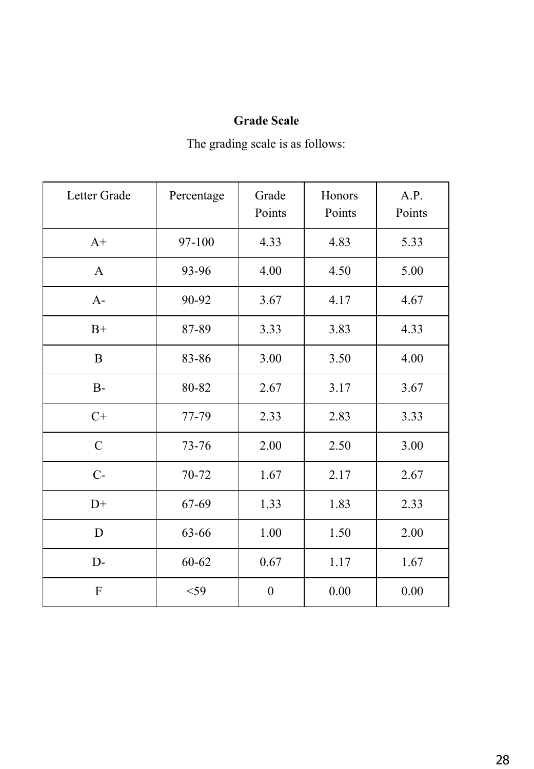# **Grade Scale**

The grading scale is as follows:

| Letter Grade  | Percentage  | Grade<br>Points  | Honors<br>Points | A.P.<br>Points |
|---------------|-------------|------------------|------------------|----------------|
| $A+$          | 97-100      | 4.33             | 4.83             | 5.33           |
| $\mathbf{A}$  | 93-96       | 4.00             | 4.50             | 5.00           |
| $A-$          | 90-92       | 3.67             | 4.17             | 4.67           |
| $B+$          | 87-89       | 3.33             | 3.83             | 4.33           |
| $\bf{B}$      | 83-86       | 3.00             | 3.50             | 4.00           |
| $B-$          | 80-82       | 2.67             | 3.17             | 3.67           |
| $C+$          | 77-79       | 2.33             | 2.83             | 3.33           |
| $\mathcal{C}$ | 73-76       | 2.00             | 2.50             | 3.00           |
| $C-$          | 70-72       | 1.67             | 2.17             | 2.67           |
| $D+$          | 67-69       | 1.33             | 1.83             | 2.33           |
| D             | 63-66       | 1.00             | 1.50             | 2.00           |
| $D-$          | $60 - 62$   | 0.67             | 1.17             | 1.67           |
| ${\bf F}$     | $<$ 59 $\,$ | $\boldsymbol{0}$ | 0.00             | 0.00           |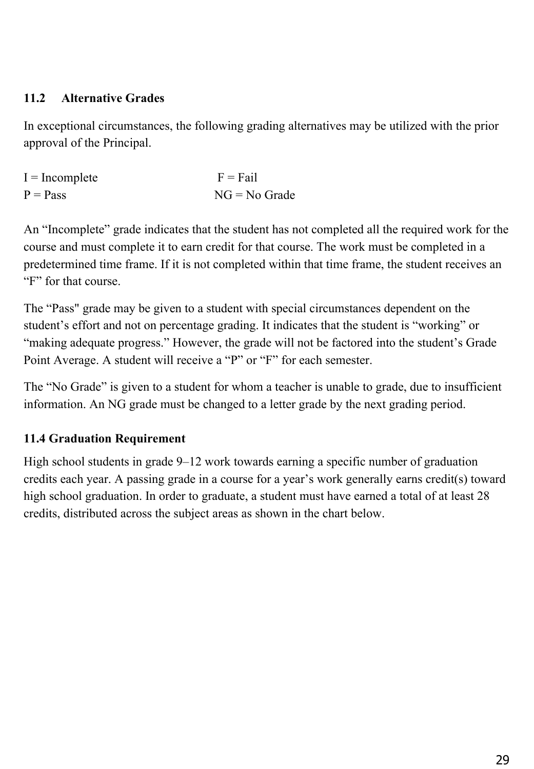# **11.2 Alternative Grades**

In exceptional circumstances, the following grading alternatives may be utilized with the prior approval of the Principal.

| $I = Incomplete$ | $F = Fail$      |
|------------------|-----------------|
| $P = Pass$       | $NG = No$ Grade |

An "Incomplete" grade indicates that the student has not completed all the required work for the course and must complete it to earn credit for that course. The work must be completed in a predetermined time frame. If it is not completed within that time frame, the student receives an "F" for that course.

The "Pass" grade may be given to a student with special circumstances dependent on the student's effort and not on percentage grading. It indicates that the student is "working" or "making adequate progress." However, the grade will not be factored into the student's Grade Point Average. A student will receive a "P" or "F" for each semester.

The "No Grade" is given to a student for whom a teacher is unable to grade, due to insufficient information. An NG grade must be changed to a letter grade by the next grading period.

# **11.4 Graduation Requirement**

High school students in grade 9–12 work towards earning a specific number of graduation credits each year. A passing grade in a course for a year's work generally earns credit(s) toward high school graduation. In order to graduate, a student must have earned a total of at least 28 credits, distributed across the subject areas as shown in the chart below.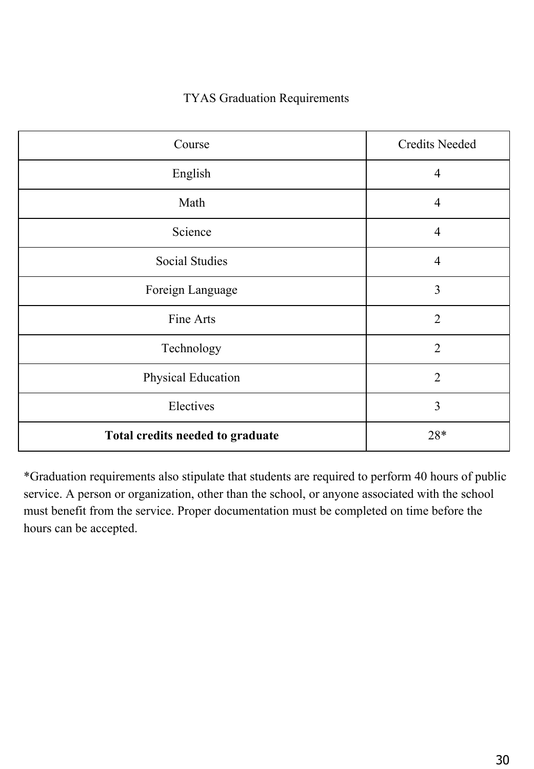#### TYAS Graduation Requirements

| Course                           | <b>Credits Needed</b> |
|----------------------------------|-----------------------|
| English                          | $\overline{4}$        |
| Math                             | $\overline{4}$        |
| Science                          | $\overline{4}$        |
| <b>Social Studies</b>            | $\overline{4}$        |
| Foreign Language                 | 3                     |
| Fine Arts                        | $\overline{2}$        |
| Technology                       | $\overline{2}$        |
| Physical Education               | $\overline{2}$        |
| Electives                        | 3                     |
| Total credits needed to graduate | $28*$                 |

\*Graduation requirements also stipulate that students are required to perform 40 hours of public service. A person or organization, other than the school, or anyone associated with the school must benefit from the service. Proper documentation must be completed on time before the hours can be accepted.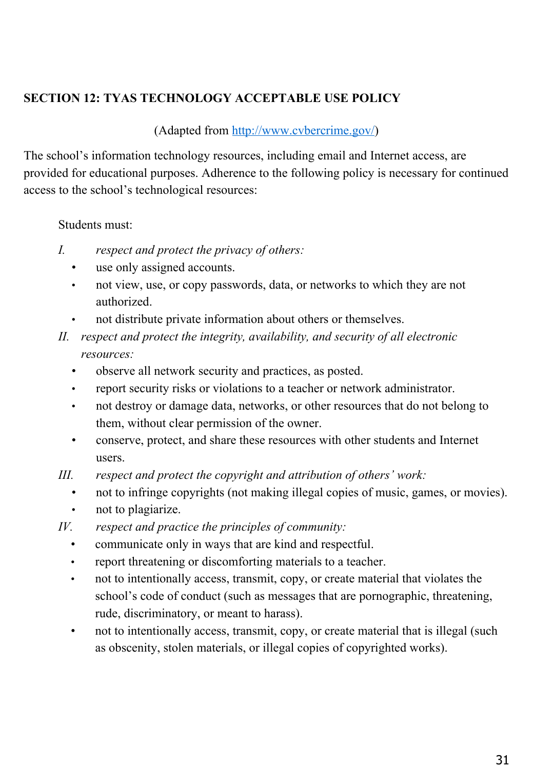# **SECTION 12: TYAS TECHNOLOGY ACCEPTABLE USE POLICY**

#### (Adapted from<http://www.cvbercrime.gov/>)

The school's information technology resources, including email and Internet access, are provided for educational purposes. Adherence to the following policy is necessary for continued access to the school's technological resources:

Students must:

- *I. respect and protect the privacy of others:*
	- use only assigned accounts.
	- not view, use, or copy passwords, data, or networks to which they are not authorized.
	- not distribute private information about others or themselves.
- *II. respect and protect the integrity, availability, and security of all electronic resources:*
	- observe all network security and practices, as posted.
	- report security risks or violations to a teacher or network administrator.
	- not destroy or damage data, networks, or other resources that do not belong to them, without clear permission of the owner.
	- conserve, protect, and share these resources with other students and Internet users.
- *III. respect and protect the copyright and attribution of others' work:*
	- not to infringe copyrights (not making illegal copies of music, games, or movies).
	- not to plagiarize.
- *IV. respect and practice the principles of community:*
	- communicate only in ways that are kind and respectful.
	- report threatening or discomforting materials to a teacher.
	- not to intentionally access, transmit, copy, or create material that violates the school's code of conduct (such as messages that are pornographic, threatening, rude, discriminatory, or meant to harass).
	- not to intentionally access, transmit, copy, or create material that is illegal (such as obscenity, stolen materials, or illegal copies of copyrighted works).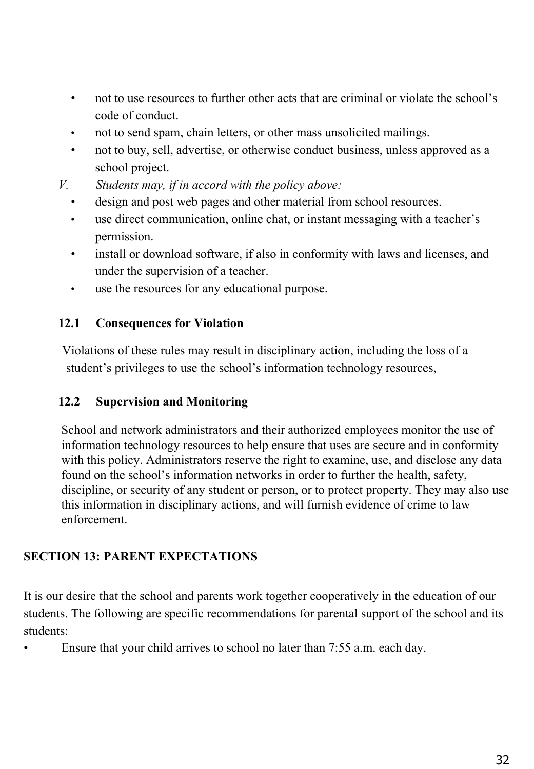- not to use resources to further other acts that are criminal or violate the school's code of conduct.
- not to send spam, chain letters, or other mass unsolicited mailings.
- not to buy, sell, advertise, or otherwise conduct business, unless approved as a school project.
- *V. Students may, if in accord with the policy above:*
	- design and post web pages and other material from school resources.
	- use direct communication, online chat, or instant messaging with a teacher's permission.
	- install or download software, if also in conformity with laws and licenses, and under the supervision of a teacher.
	- use the resources for any educational purpose.

# **12.1 Consequences for Violation**

 Violations of these rules may result in disciplinary action, including the loss of a student's privileges to use the school's information technology resources,

# **12.2 Supervision and Monitoring**

School and network administrators and their authorized employees monitor the use of information technology resources to help ensure that uses are secure and in conformity with this policy. Administrators reserve the right to examine, use, and disclose any data found on the school's information networks in order to further the health, safety, discipline, or security of any student or person, or to protect property. They may also use this information in disciplinary actions, and will furnish evidence of crime to law enforcement.

# **SECTION 13: PARENT EXPECTATIONS**

It is our desire that the school and parents work together cooperatively in the education of our students. The following are specific recommendations for parental support of the school and its students:

Ensure that your child arrives to school no later than 7:55 a.m. each day.